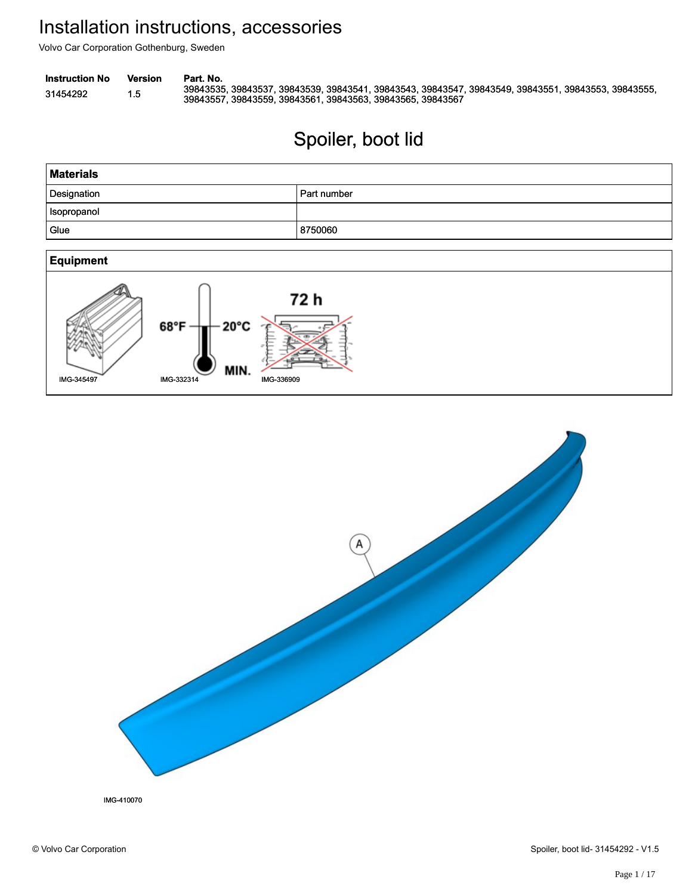Volvo Car Corporation Gothenburg, Sweden

```
Instruction No Version Part. No.
```
31454292 1.5 39843535, 39843537, 39843539, 39843541, 39843543, 39843547, 39843549, 39843551, 39843553, 39843555,<br>39843567 1.5 39843557, 39843559, 39843561, 39843563, 39843565, 39843567

# Spoiler, boot lid Spoiler, boot lid





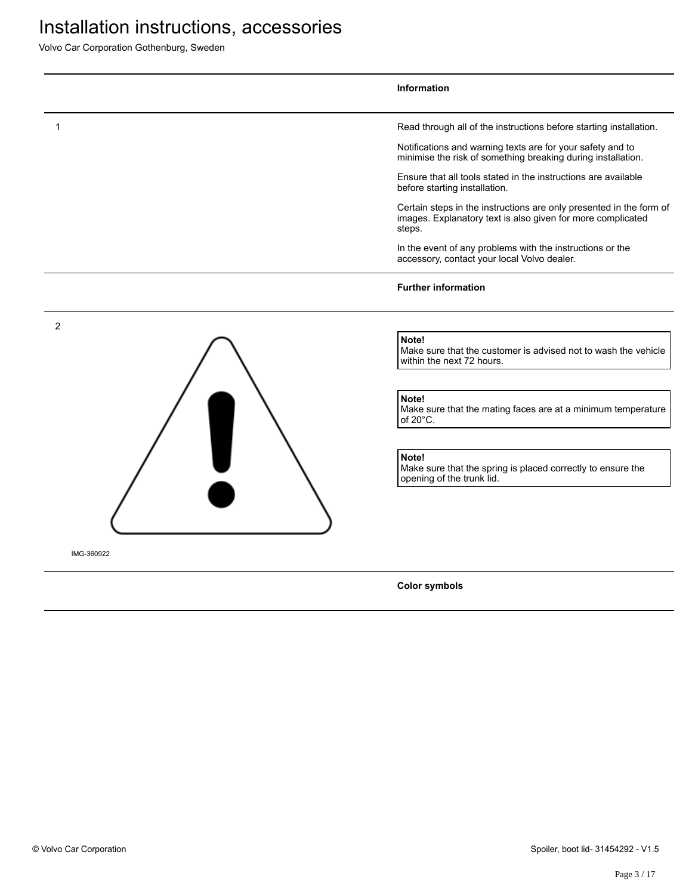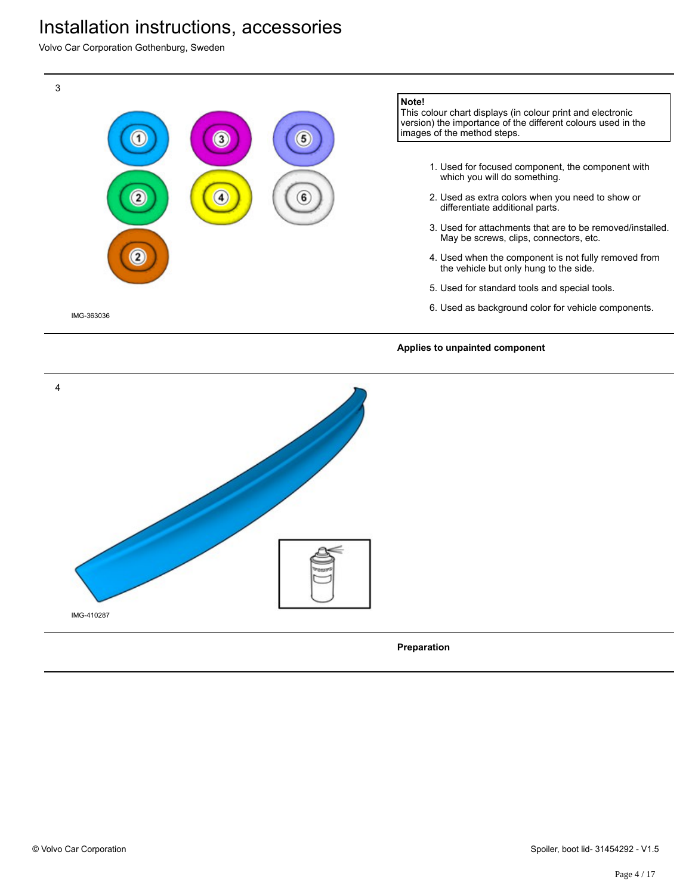Volvo Car Corporation Gothenburg, Sweden



**Preparation**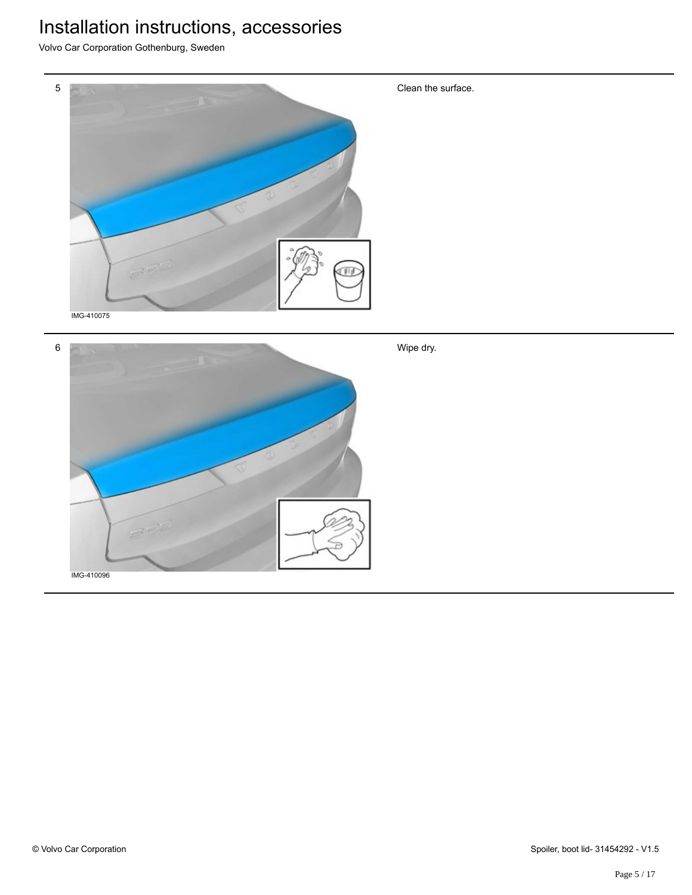

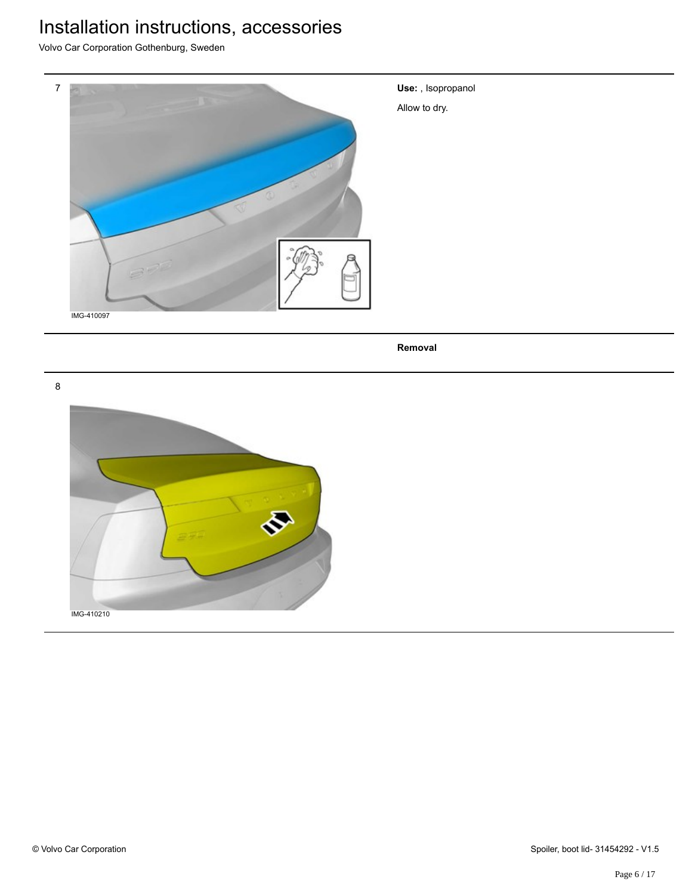Volvo Car Corporation Gothenburg, Sweden



**Use:** , Isopropanol

Allow to dry.

**Removal**

8

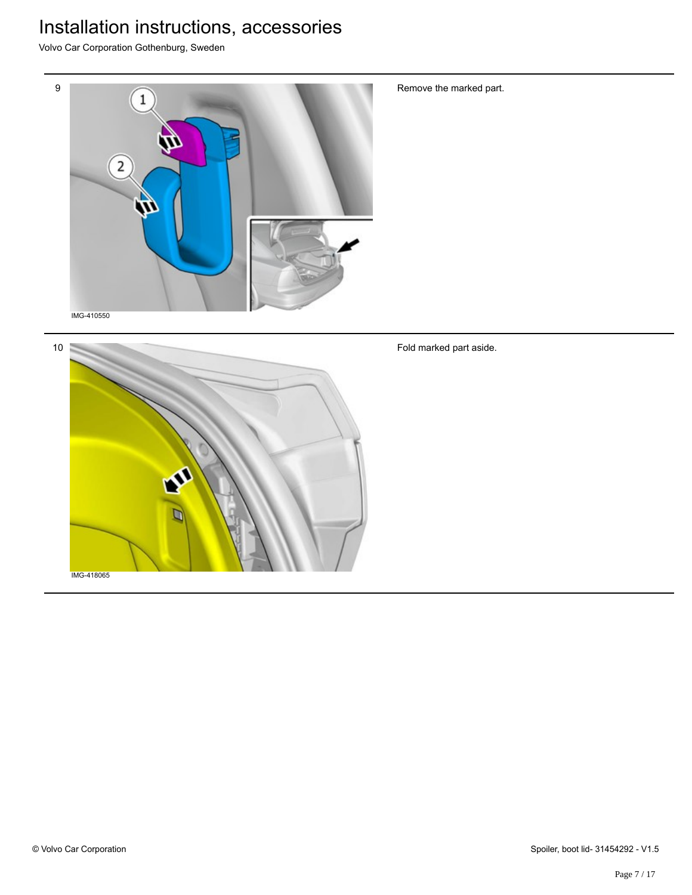Volvo Car Corporation Gothenburg, Sweden



Remove the marked part.

Fold marked part aside.

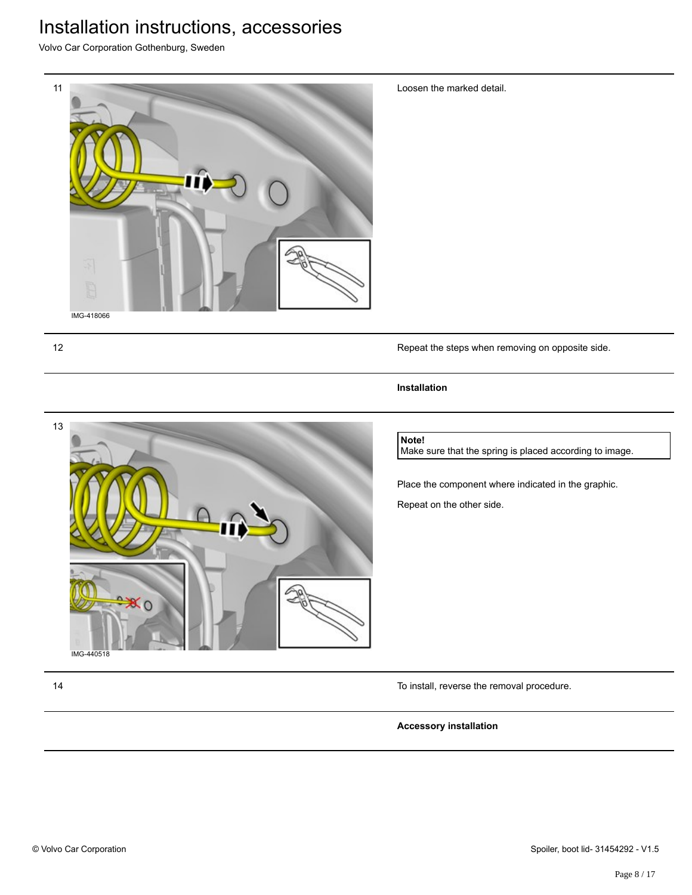Volvo Car Corporation Gothenburg, Sweden



Loosen the marked detail.

12 Repeat the steps when removing on opposite side.

#### **Installation**



Make sure that the spring is placed according to image.

Place the component where indicated in the graphic.

Repeat on the other side.

IMG-440518

13

14 To install, reverse the removal procedure.

#### **Accessory installation**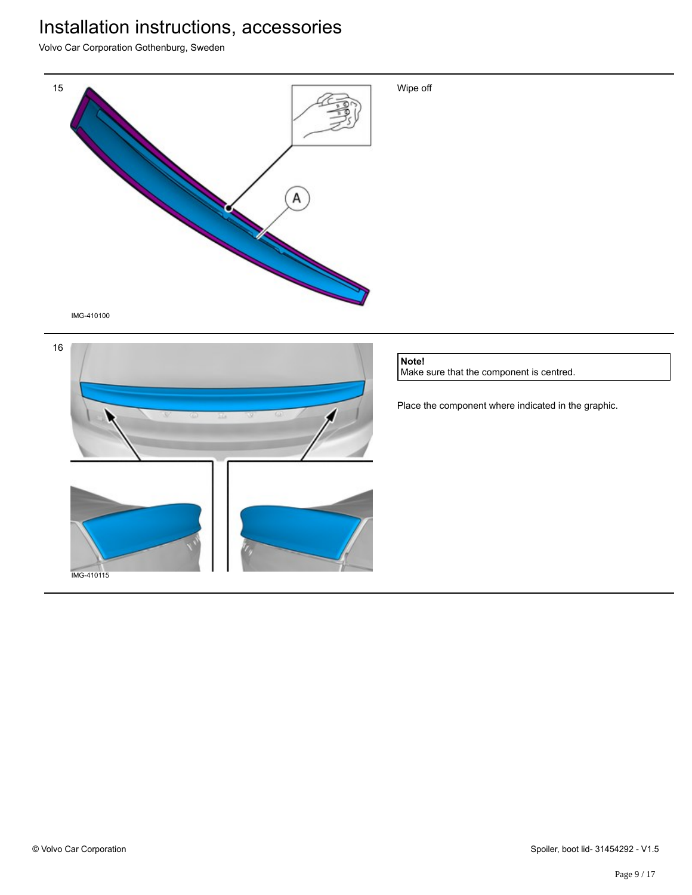Volvo Car Corporation Gothenburg, Sweden



IMG-410100



**Note!**

Make sure that the component is centred.

Place the component where indicated in the graphic.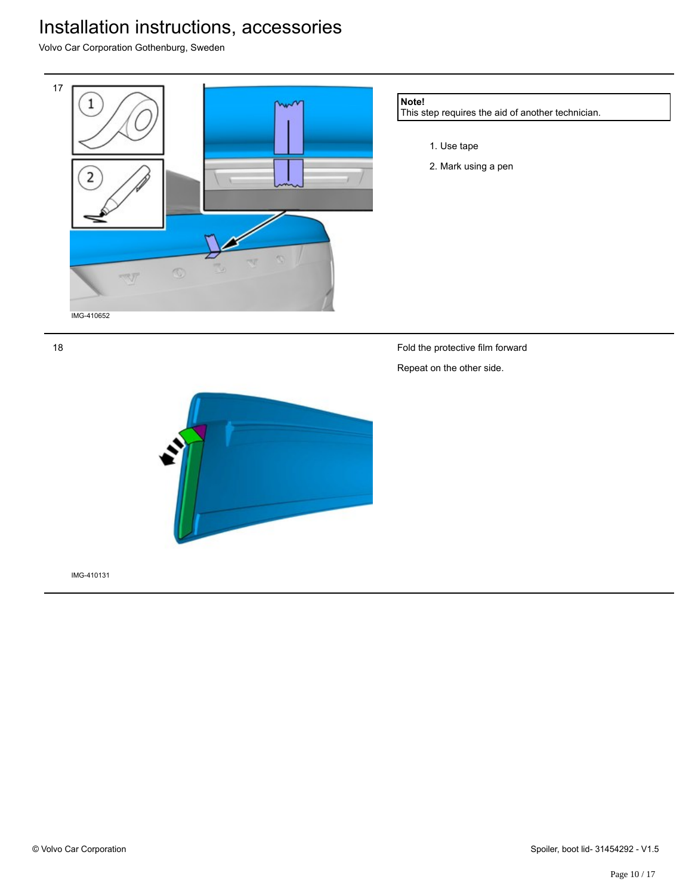Volvo Car Corporation Gothenburg, Sweden



18

Fold the protective film forward Repeat on the other side.



IMG-410131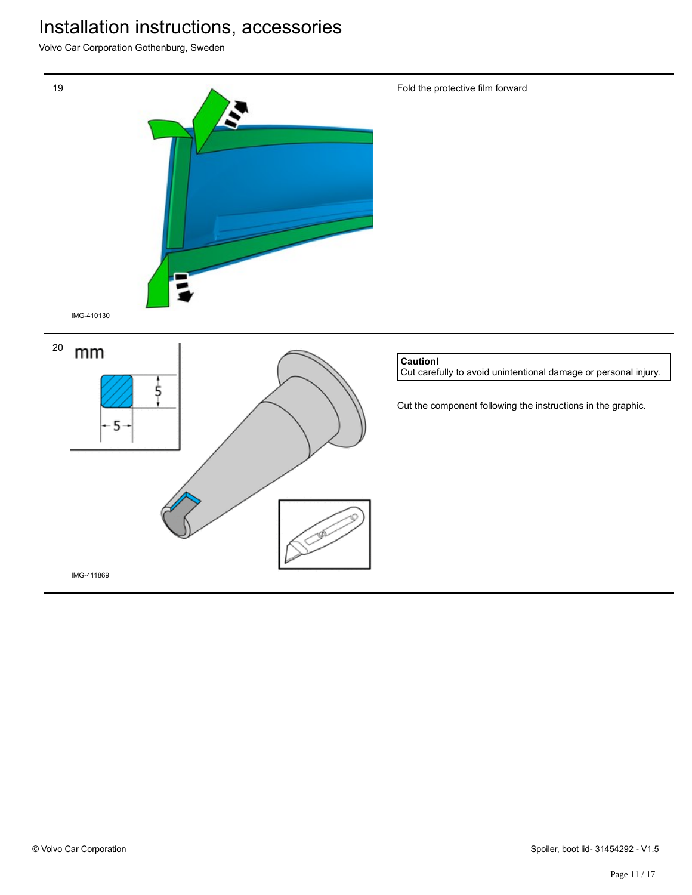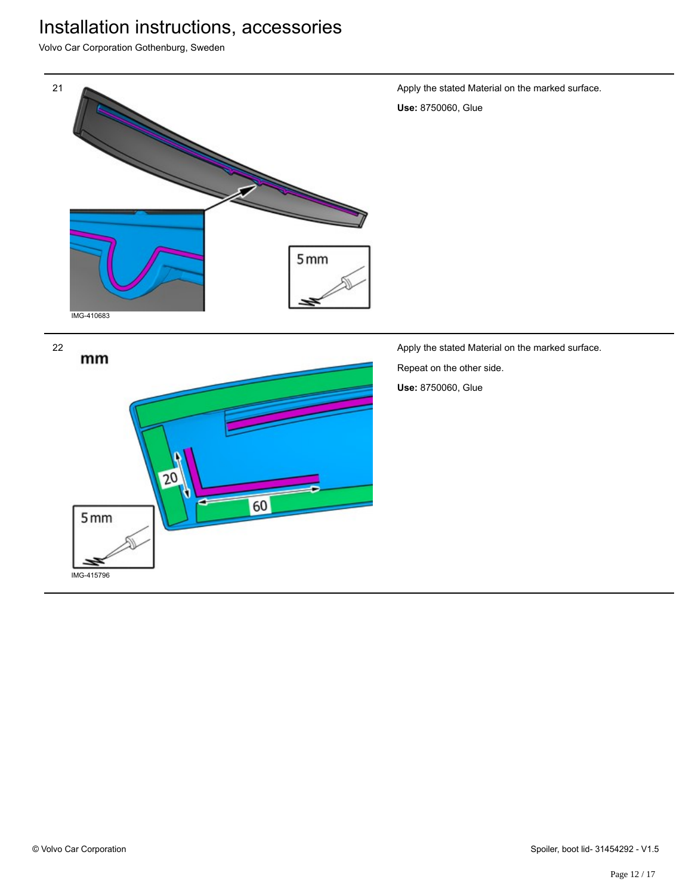Volvo Car Corporation Gothenburg, Sweden



60

IMG-415796

 $5mm$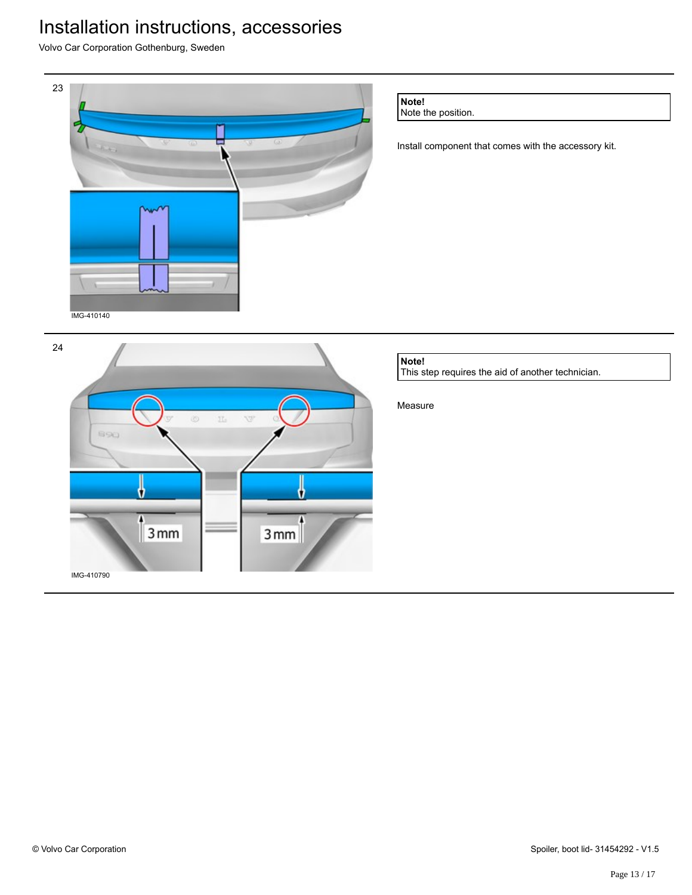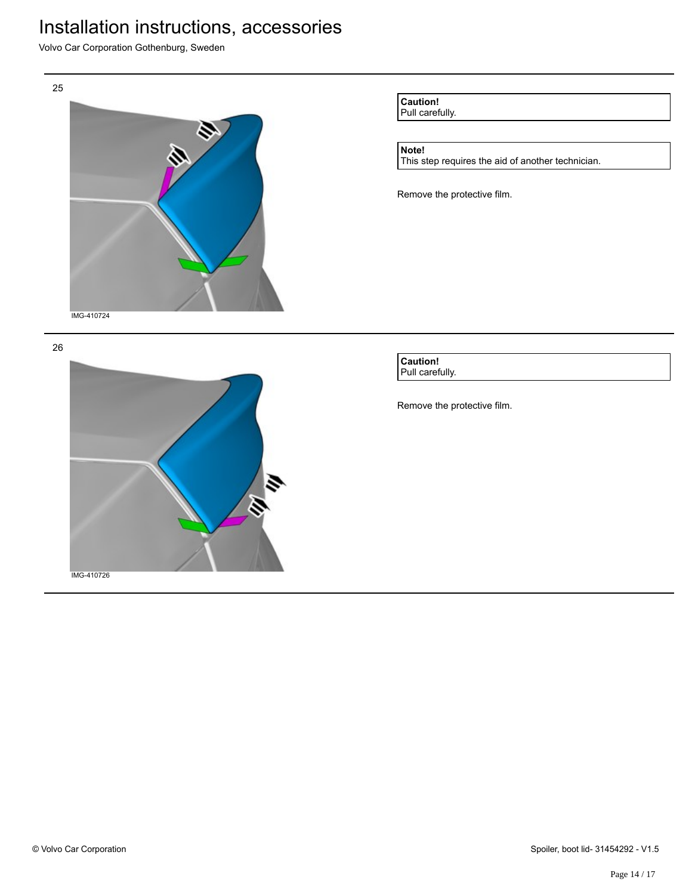Volvo Car Corporation Gothenburg, Sweden



**Caution!** Pull carefully.

#### **Note!**

This step requires the aid of another technician.

Remove the protective film.

**Caution!** Pull carefully.

Remove the protective film.

26

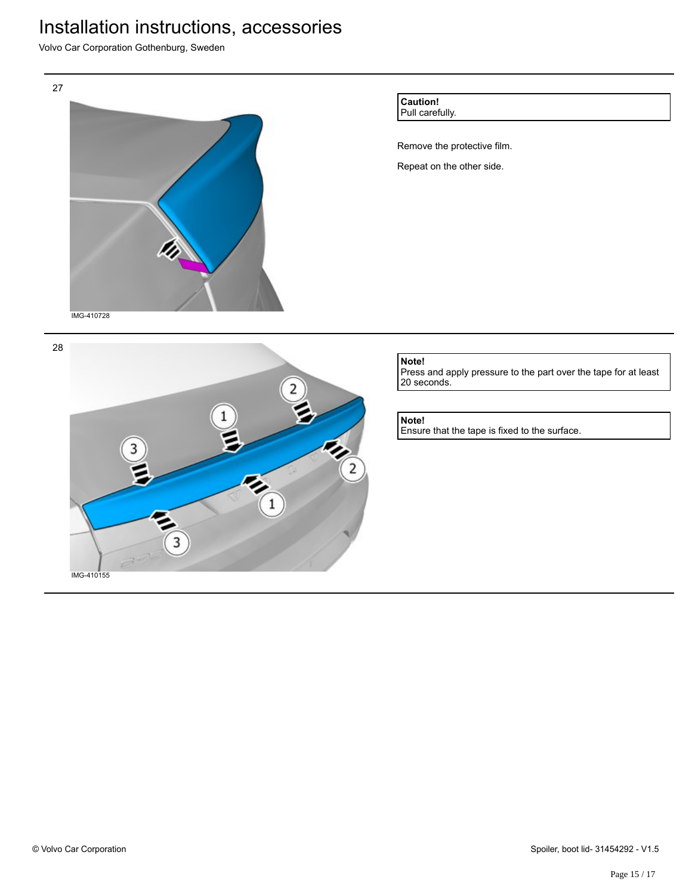Volvo Car Corporation Gothenburg, Sweden



IMG-410155

3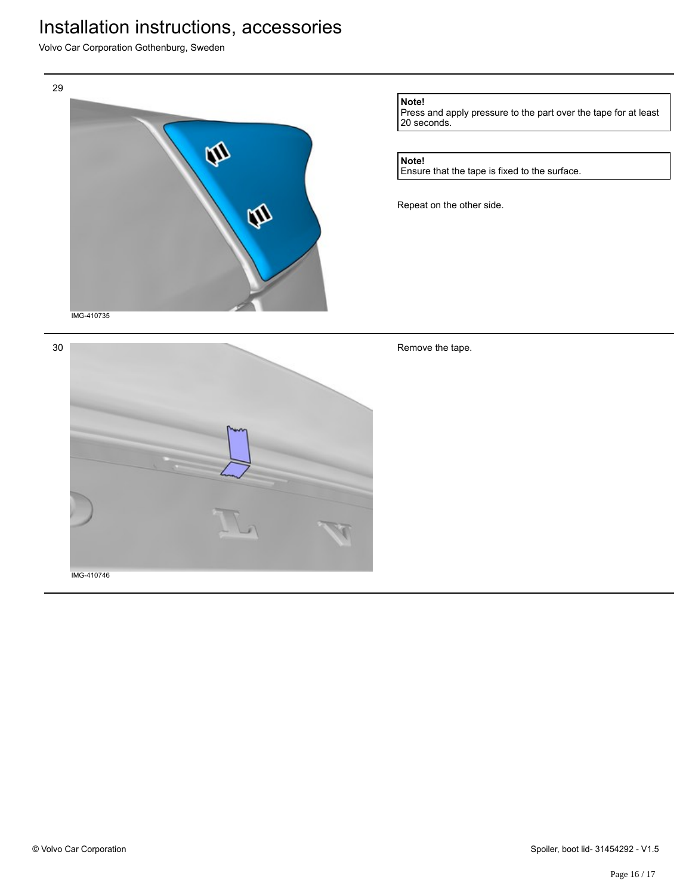